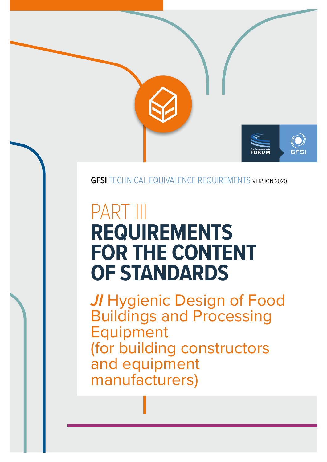

#### **GFSI** TECHNICAL EQUIVALENCE REQUIREMENTS VERSION 2020

# PART III **REQUIREMENTS FOR THE CONTENT OF STANDARDS**

*JI* Hygienic Design of Food Buildings and Processing Equipment (for building constructors and equipment manufacturers)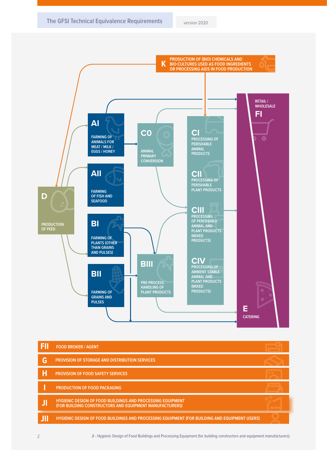

|    | <b>FOOD BROKER / AGENT</b>                                                                                                   |  |
|----|------------------------------------------------------------------------------------------------------------------------------|--|
| G  | <b>PROVISION OF STORAGE AND DISTRIBUTION SERVICES</b>                                                                        |  |
| P  | <b>PROVISION OF FOOD SAFETY SERVICES</b>                                                                                     |  |
|    | <b>PRODUCTION OF FOOD PACKAGING</b>                                                                                          |  |
| ЛI | <b>HYGIENIC DESIGN OF FOOD BUILDINGS AND PROCESSING EQUIPMENT</b><br>(FOR BUILDING CONSTRUCTORS AND EQUIPMENT MANUFACTURERS) |  |
|    | HYGIENIC DESIGN OF FOOD BUILDINGS AND PROCESSING EQUIPMENT (FOR BUILDING AND EQUIPMENT USERS)                                |  |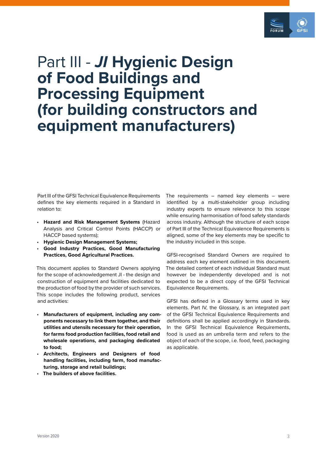

## Part III - *JI* **Hygienic Design of Food Buildings and Processing Equipment (for building constructors and equipment manufacturers)**

Part III of the GFSI Technical Equivalence Requirements defines the key elements required in a Standard in relation to:

- **Hazard and Risk Management Systems** (Hazard Analysis and Critical Control Points (HACCP) or HACCP based systems);
- **Hygienic Design Management Systems;**
- **Good Industry Practices, Good Manufacturing Practices, Good Agricultural Practices.**

This document applies to Standard Owners applying for the scope of acknowledgement JI - the design and construction of equipment and facilities dedicated to the production of food by the provider of such services. This scope includes the following product, services and activities:

- **Manufacturers of equipment, including any components necessary to link them together, and their utilities and utensils necessary for their operation, for farms food production facilities, food retail and wholesale operations, and packaging dedicated to food;**
- **Architects, Engineers and Designers of food handling facilities, including farm, food manufacturing, storage and retail buildings;**
- **The builders of above facilities.**

The requirements – named key elements – were identified by a multi-stakeholder group including industry experts to ensure relevance to this scope while ensuring harmonisation of food safety standards across industry. Although the structure of each scope of Part III of the Technical Equivalence Requirements is aligned, some of the key elements may be specific to the industry included in this scope.

GFSI-recognised Standard Owners are required to address each key element outlined in this document. The detailed content of each individual Standard must however be independently developed and is not expected to be a direct copy of the GFSI Technical Equivalence Requirements.

GFSI has defined in a Glossary terms used in key elements. Part IV, the Glossary, is an integrated part of the GFSI Technical Equivalence Requirements and definitions shall be applied accordingly in Standards. In the GFSI Technical Equivalence Requirements, food is used as an umbrella term and refers to the object of each of the scope, i.e. food, feed, packaging as applicable.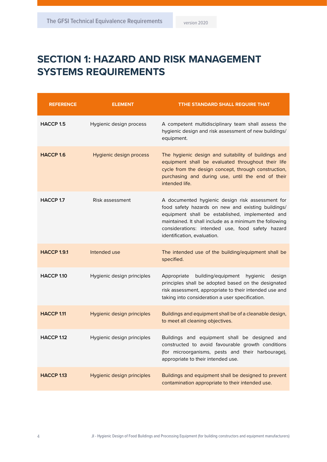### **SECTION 1: HAZARD AND RISK MANAGEMENT SYSTEMS REQUIREMENTS**

| <b>REFERENCE</b>      | <b>ELEMENT</b>             | <b>TTHE STANDARD SHALL REQUIRE THAT</b>                                                                                                                                                                                                                                                                 |
|-----------------------|----------------------------|---------------------------------------------------------------------------------------------------------------------------------------------------------------------------------------------------------------------------------------------------------------------------------------------------------|
| <b>HACCP 1.5</b>      | Hygienic design process    | A competent multidisciplinary team shall assess the<br>hygienic design and risk assessment of new buildings/<br>equipment.                                                                                                                                                                              |
| HACCP <sub>1.6</sub>  | Hygienic design process    | The hygienic design and suitability of buildings and<br>equipment shall be evaluated throughout their life<br>cycle from the design concept, through construction,<br>purchasing and during use, until the end of their<br>intended life.                                                               |
| HACCP 1.7             | Risk assessment            | A documented hygienic design risk assessment for<br>food safety hazards on new and existing buildings/<br>equipment shall be established, implemented and<br>maintained. It shall include as a minimum the following<br>considerations: intended use, food safety hazard<br>identification, evaluation. |
| <b>HACCP 1.9.1</b>    | Intended use               | The intended use of the building/equipment shall be<br>specified.                                                                                                                                                                                                                                       |
| HACCP <sub>1.10</sub> | Hygienic design principles | building/equipment<br>hygienic<br>Appropriate<br>design<br>principles shall be adopted based on the designated<br>risk assessment, appropriate to their intended use and<br>taking into consideration a user specification.                                                                             |
| HACCP <sub>1.11</sub> | Hygienic design principles | Buildings and equipment shall be of a cleanable design,<br>to meet all cleaning objectives.                                                                                                                                                                                                             |
| HACCP <sub>1.12</sub> | Hygienic design principles | Buildings and equipment shall be designed and<br>constructed to avoid favourable growth conditions<br>(for microorganisms, pests and their harbourage),<br>appropriate to their intended use.                                                                                                           |
| HACCP <sub>1.13</sub> | Hygienic design principles | Buildings and equipment shall be designed to prevent<br>contamination appropriate to their intended use.                                                                                                                                                                                                |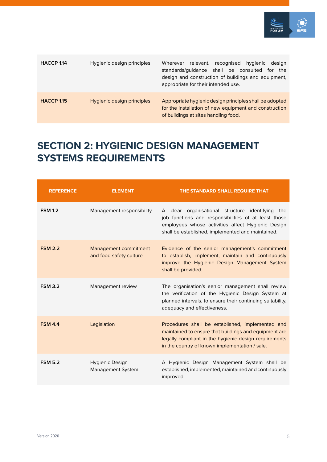

| HACCP 1.14            | Hygienic design principles | Wherever relevant, recognised<br>hygienic<br>design<br>standards/guidance shall be consulted<br>the<br>for<br>design and construction of buildings and equipment,<br>appropriate for their intended use. |
|-----------------------|----------------------------|----------------------------------------------------------------------------------------------------------------------------------------------------------------------------------------------------------|
| HACCP <sub>1.15</sub> | Hygienic design principles | Appropriate hygienic design principles shall be adopted<br>for the installation of new equipment and construction<br>of buildings at sites handling food.                                                |

### **SECTION 2: HYGIENIC DESIGN MANAGEMENT SYSTEMS REQUIREMENTS**

| <b>REFERENCE</b> | <b>ELEMENT</b>                                   | THE STANDARD SHALL REQUIRE THAT                                                                                                                                                                                      |
|------------------|--------------------------------------------------|----------------------------------------------------------------------------------------------------------------------------------------------------------------------------------------------------------------------|
| <b>FSM 1.2</b>   | Management responsibility                        | A clear organisational structure identifying the<br>job functions and responsibilities of at least those<br>employees whose activities affect Hygienic Design<br>shall be established, implemented and maintained.   |
| <b>FSM 2.2</b>   | Management commitment<br>and food safety culture | Evidence of the senior management's commitment<br>to establish, implement, maintain and continuously<br>improve the Hygienic Design Management System<br>shall be provided.                                          |
| <b>FSM 3.2</b>   | Management review                                | The organisation's senior management shall review<br>the verification of the Hygienic Design System at<br>planned intervals, to ensure their continuing suitability,<br>adequacy and effectiveness.                  |
| <b>FSM 4.4</b>   | Legislation                                      | Procedures shall be established, implemented and<br>maintained to ensure that buildings and equipment are<br>legally compliant in the hygienic design requirements<br>in the country of known implementation / sale. |
| <b>FSM 5.2</b>   | Hygienic Design<br><b>Management System</b>      | A Hygienic Design Management System shall be<br>established, implemented, maintained and continuously<br>improved.                                                                                                   |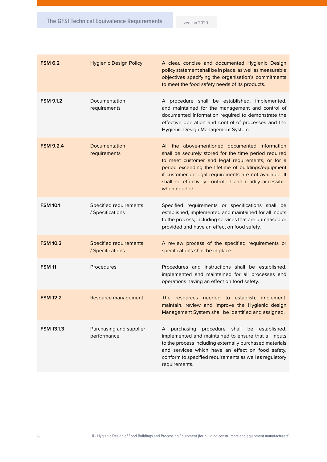| <b>FSM 6.2</b>    | <b>Hygienic Design Policy</b>                     | A clear, concise and documented Hygienic Design<br>policy statement shall be in place, as well as measurable<br>objectives specifying the organisation's commitments<br>to meet the food safety needs of its products.                                                                                                                                    |
|-------------------|---------------------------------------------------|-----------------------------------------------------------------------------------------------------------------------------------------------------------------------------------------------------------------------------------------------------------------------------------------------------------------------------------------------------------|
| <b>FSM 9.1.2</b>  | Documentation<br>requirements                     | A procedure shall be established, implemented,<br>and maintained for the management and control of<br>documented information required to demonstrate the<br>effective operation and control of processes and the<br>Hygienic Design Management System.                                                                                                    |
| <b>FSM 9.2.4</b>  | Documentation<br>requirements                     | All the above-mentioned documented information<br>shall be securely stored for the time period required<br>to meet customer and legal requirements, or for a<br>period exceeding the lifetime of buildings/equipment<br>if customer or legal requirements are not available. It<br>shall be effectively controlled and readily accessible<br>when needed. |
| <b>FSM 10.1</b>   | Specified requirements<br>/ Specifications        | Specified requirements or specifications shall be<br>established, implemented and maintained for all inputs<br>to the process, including services that are purchased or<br>provided and have an effect on food safety.                                                                                                                                    |
| <b>FSM 10.2</b>   | <b>Specified requirements</b><br>/ Specifications | A review process of the specified requirements or<br>specifications shall be in place.                                                                                                                                                                                                                                                                    |
| <b>FSM 11</b>     | Procedures                                        | Procedures and instructions shall be established,<br>implemented and maintained for all processes and<br>operations having an effect on food safety.                                                                                                                                                                                                      |
| <b>FSM 12.2</b>   | Resource management                               | The resources needed to establish, implement,<br>maintain, review and improve the Hygienic design<br>Management System shall be identified and assigned.                                                                                                                                                                                                  |
| <b>FSM 13.1.3</b> | Purchasing and supplier<br>performance            | procedure<br>purchasing<br>shall<br>be<br>established,<br>A<br>implemented and maintained to ensure that all inputs<br>to the process including externally purchased materials<br>and services which have an effect on food safety,<br>conform to specified requirements as well as regulatory<br>requirements.                                           |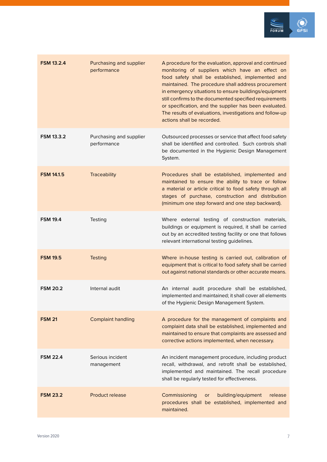

| <b>FSM 13.2.4</b> | Purchasing and supplier<br>performance | A procedure for the evaluation, approval and continued<br>monitoring of suppliers which have an effect on<br>food safety shall be established, implemented and<br>maintained. The procedure shall address procurement<br>in emergency situations to ensure buildings/equipment<br>still confirms to the documented specified requirements<br>or specification, and the supplier has been evaluated.<br>The results of evaluations, investigations and follow-up<br>actions shall be recorded. |
|-------------------|----------------------------------------|-----------------------------------------------------------------------------------------------------------------------------------------------------------------------------------------------------------------------------------------------------------------------------------------------------------------------------------------------------------------------------------------------------------------------------------------------------------------------------------------------|
| <b>FSM 13.3.2</b> | Purchasing and supplier<br>performance | Outsourced processes or service that affect food safety<br>shall be identified and controlled. Such controls shall<br>be documented in the Hygienic Design Management<br>System.                                                                                                                                                                                                                                                                                                              |
| <b>FSM 14.1.5</b> | <b>Traceability</b>                    | Procedures shall be established, implemented and<br>maintained to ensure the ability to trace or follow<br>a material or article critical to food safety through all<br>stages of purchase, construction and distribution<br>(minimum one step forward and one step backward).                                                                                                                                                                                                                |
| <b>FSM 19.4</b>   | Testing                                | Where external testing of construction materials,<br>buildings or equipment is required, it shall be carried<br>out by an accredited testing facility or one that follows<br>relevant international testing guidelines.                                                                                                                                                                                                                                                                       |
| <b>FSM 19.5</b>   | <b>Testing</b>                         | Where in-house testing is carried out, calibration of<br>equipment that is critical to food safety shall be carried<br>out against national standards or other accurate means.                                                                                                                                                                                                                                                                                                                |
| <b>FSM 20.2</b>   | Internal audit                         | An internal audit procedure shall be established,<br>implemented and maintained; it shall cover all elements<br>of the Hygienic Design Management System.                                                                                                                                                                                                                                                                                                                                     |
| <b>FSM 21</b>     | <b>Complaint handling</b>              | A procedure for the management of complaints and<br>complaint data shall be established, implemented and<br>maintained to ensure that complaints are assessed and<br>corrective actions implemented, when necessary.                                                                                                                                                                                                                                                                          |
| <b>FSM 22.4</b>   | Serious incident<br>management         | An incident management procedure, including product<br>recall, withdrawal, and retrofit shall be established,<br>implemented and maintained. The recall procedure<br>shall be regularly tested for effectiveness.                                                                                                                                                                                                                                                                             |
| <b>FSM 23.2</b>   | <b>Product release</b>                 | Commissioning<br>building/equipment<br>release<br><b>or</b><br>procedures shall be established, implemented and<br>maintained.                                                                                                                                                                                                                                                                                                                                                                |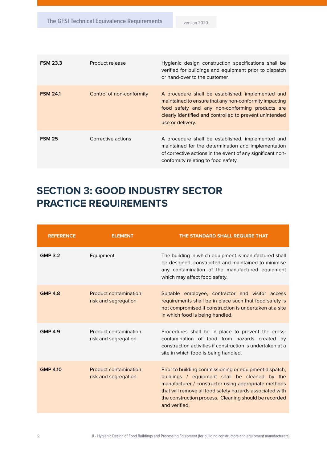| <b>FSM 23.3</b> | Product release           | Hygienic design construction specifications shall be<br>verified for buildings and equipment prior to dispatch<br>or hand-over to the customer.                                                                                               |
|-----------------|---------------------------|-----------------------------------------------------------------------------------------------------------------------------------------------------------------------------------------------------------------------------------------------|
| <b>FSM 24.1</b> | Control of non-conformity | A procedure shall be established, implemented and<br>maintained to ensure that any non-conformity impacting<br>food safety and any non-conforming products are<br>clearly identified and controlled to prevent unintended<br>use or delivery. |
| <b>FSM 25</b>   | Corrective actions        | A procedure shall be established, implemented and<br>maintained for the determination and implementation<br>of corrective actions in the event of any significant non-<br>conformity relating to food safety.                                 |

#### **SECTION 3: GOOD INDUSTRY SECTOR PRACTICE REQUIREMENTS**

| <b>REFERENCE</b> | <b>ELEMENT</b>                                       | THE STANDARD SHALL REQUIRE THAT                                                                                                                                                                                                                                                                       |
|------------------|------------------------------------------------------|-------------------------------------------------------------------------------------------------------------------------------------------------------------------------------------------------------------------------------------------------------------------------------------------------------|
| <b>GMP 3.2</b>   | Equipment                                            | The building in which equipment is manufactured shall<br>be designed, constructed and maintained to minimise<br>any contamination of the manufactured equipment<br>which may affect food safety.                                                                                                      |
| <b>GMP 4.8</b>   | <b>Product contamination</b><br>risk and segregation | Suitable employee, contractor and visitor access<br>requirements shall be in place such that food safety is<br>not compromised if construction is undertaken at a site<br>in which food is being handled.                                                                                             |
| <b>GMP 4.9</b>   | Product contamination<br>risk and segregation        | Procedures shall be in place to prevent the cross-<br>contamination of food from hazards created by<br>construction activities if construction is undertaken at a<br>site in which food is being handled.                                                                                             |
| <b>GMP 4.10</b>  | <b>Product contamination</b><br>risk and segregation | Prior to building commissioning or equipment dispatch,<br>buildings / equipment shall be cleaned by the<br>manufacturer / constructor using appropriate methods<br>that will remove all food safety hazards associated with<br>the construction process. Cleaning should be recorded<br>and verified. |